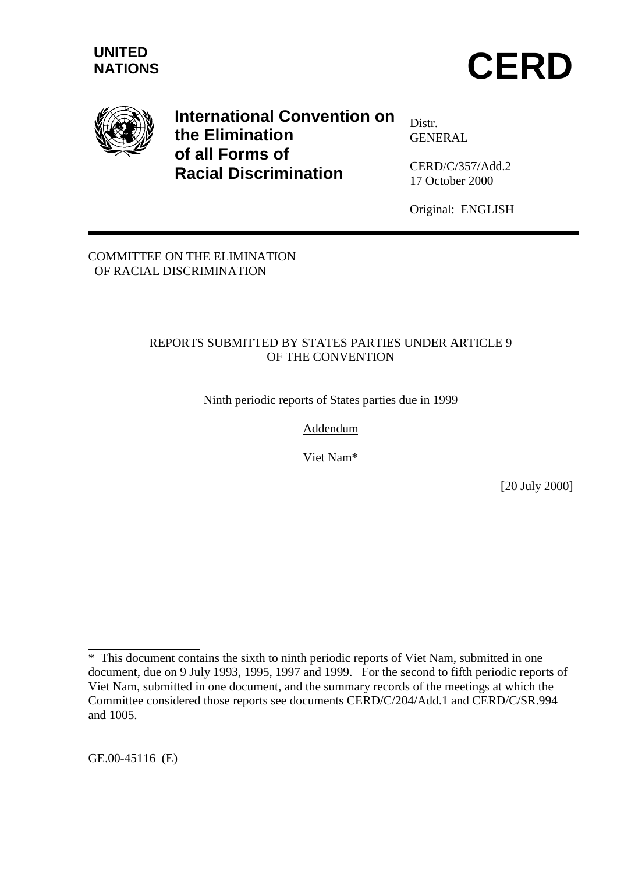

**International Convention on the Elimination of all Forms of Racial Discrimination**

Distr. **GENERAL** 

CERD/C/357/Add.2 17 October 2000

Original: ENGLISH

COMMITTEE ON THE ELIMINATION OF RACIAL DISCRIMINATION

## REPORTS SUBMITTED BY STATES PARTIES UNDER ARTICLE 9 OF THE CONVENTION

Ninth periodic reports of States parties due in 1999

Addendum

Viet Nam\*

[20 July 2000]

GE.00-45116 (E)

 $\overline{a}$ \* This document contains the sixth to ninth periodic reports of Viet Nam, submitted in one document, due on 9 July 1993, 1995, 1997 and 1999. For the second to fifth periodic reports of Viet Nam, submitted in one document, and the summary records of the meetings at which the Committee considered those reports see documents CERD/C/204/Add.1 and CERD/C/SR.994 and 1005.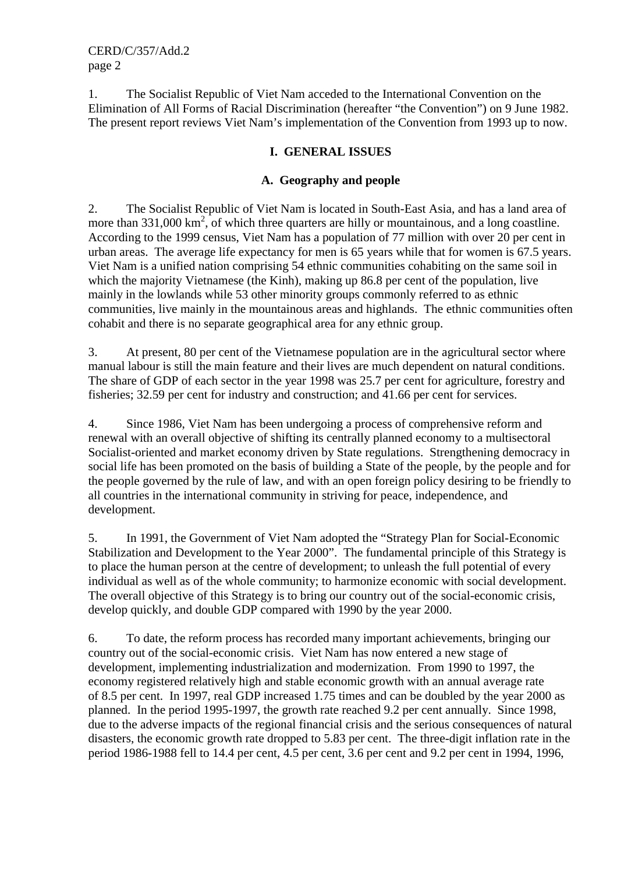1. The Socialist Republic of Viet Nam acceded to the International Convention on the Elimination of All Forms of Racial Discrimination (hereafter "the Convention") on 9 June 1982. The present report reviews Viet Nam's implementation of the Convention from 1993 up to now.

## **I. GENERAL ISSUES**

## **A. Geography and people**

2. The Socialist Republic of Viet Nam is located in South-East Asia, and has a land area of more than  $331,000 \text{ km}^2$ , of which three quarters are hilly or mountainous, and a long coastline. According to the 1999 census, Viet Nam has a population of 77 million with over 20 per cent in urban areas. The average life expectancy for men is 65 years while that for women is 67.5 years. Viet Nam is a unified nation comprising 54 ethnic communities cohabiting on the same soil in which the majority Vietnamese (the Kinh), making up 86.8 per cent of the population, live mainly in the lowlands while 53 other minority groups commonly referred to as ethnic communities, live mainly in the mountainous areas and highlands. The ethnic communities often cohabit and there is no separate geographical area for any ethnic group.

3. At present, 80 per cent of the Vietnamese population are in the agricultural sector where manual labour is still the main feature and their lives are much dependent on natural conditions. The share of GDP of each sector in the year 1998 was 25.7 per cent for agriculture, forestry and fisheries; 32.59 per cent for industry and construction; and 41.66 per cent for services.

4. Since 1986, Viet Nam has been undergoing a process of comprehensive reform and renewal with an overall objective of shifting its centrally planned economy to a multisectoral Socialist-oriented and market economy driven by State regulations. Strengthening democracy in social life has been promoted on the basis of building a State of the people, by the people and for the people governed by the rule of law, and with an open foreign policy desiring to be friendly to all countries in the international community in striving for peace, independence, and development.

5. In 1991, the Government of Viet Nam adopted the "Strategy Plan for Social-Economic Stabilization and Development to the Year 2000". The fundamental principle of this Strategy is to place the human person at the centre of development; to unleash the full potential of every individual as well as of the whole community; to harmonize economic with social development. The overall objective of this Strategy is to bring our country out of the social-economic crisis, develop quickly, and double GDP compared with 1990 by the year 2000.

6. To date, the reform process has recorded many important achievements, bringing our country out of the social-economic crisis. Viet Nam has now entered a new stage of development, implementing industrialization and modernization. From 1990 to 1997, the economy registered relatively high and stable economic growth with an annual average rate of 8.5 per cent. In 1997, real GDP increased 1.75 times and can be doubled by the year 2000 as planned. In the period 1995-1997, the growth rate reached 9.2 per cent annually. Since 1998, due to the adverse impacts of the regional financial crisis and the serious consequences of natural disasters, the economic growth rate dropped to 5.83 per cent. The three-digit inflation rate in the period 1986-1988 fell to 14.4 per cent, 4.5 per cent, 3.6 per cent and 9.2 per cent in 1994, 1996,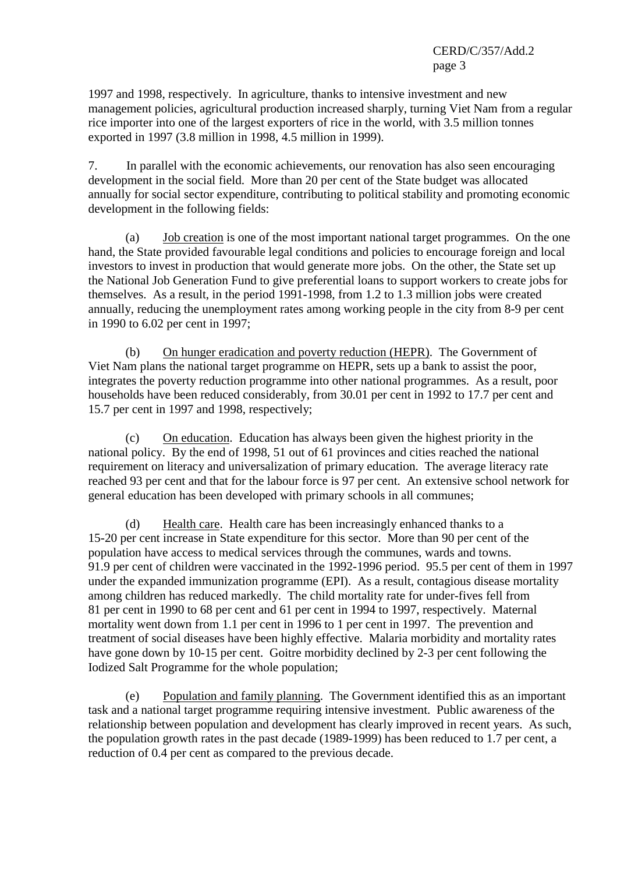1997 and 1998, respectively. In agriculture, thanks to intensive investment and new management policies, agricultural production increased sharply, turning Viet Nam from a regular rice importer into one of the largest exporters of rice in the world, with 3.5 million tonnes exported in 1997 (3.8 million in 1998, 4.5 million in 1999).

7. In parallel with the economic achievements, our renovation has also seen encouraging development in the social field. More than 20 per cent of the State budget was allocated annually for social sector expenditure, contributing to political stability and promoting economic development in the following fields:

(a) Job creation is one of the most important national target programmes. On the one hand, the State provided favourable legal conditions and policies to encourage foreign and local investors to invest in production that would generate more jobs. On the other, the State set up the National Job Generation Fund to give preferential loans to support workers to create jobs for themselves. As a result, in the period 1991-1998, from 1.2 to 1.3 million jobs were created annually, reducing the unemployment rates among working people in the city from 8-9 per cent in 1990 to 6.02 per cent in 1997;

(b) On hunger eradication and poverty reduction (HEPR). The Government of Viet Nam plans the national target programme on HEPR, sets up a bank to assist the poor, integrates the poverty reduction programme into other national programmes. As a result, poor households have been reduced considerably, from 30.01 per cent in 1992 to 17.7 per cent and 15.7 per cent in 1997 and 1998, respectively;

(c) On education. Education has always been given the highest priority in the national policy. By the end of 1998, 51 out of 61 provinces and cities reached the national requirement on literacy and universalization of primary education. The average literacy rate reached 93 per cent and that for the labour force is 97 per cent. An extensive school network for general education has been developed with primary schools in all communes;

(d) Health care. Health care has been increasingly enhanced thanks to a 15-20 per cent increase in State expenditure for this sector. More than 90 per cent of the population have access to medical services through the communes, wards and towns. 91.9 per cent of children were vaccinated in the 1992-1996 period. 95.5 per cent of them in 1997 under the expanded immunization programme (EPI). As a result, contagious disease mortality among children has reduced markedly. The child mortality rate for under-fives fell from 81 per cent in 1990 to 68 per cent and 61 per cent in 1994 to 1997, respectively. Maternal mortality went down from 1.1 per cent in 1996 to 1 per cent in 1997. The prevention and treatment of social diseases have been highly effective. Malaria morbidity and mortality rates have gone down by 10-15 per cent. Goitre morbidity declined by 2-3 per cent following the Iodized Salt Programme for the whole population;

(e) Population and family planning. The Government identified this as an important task and a national target programme requiring intensive investment. Public awareness of the relationship between population and development has clearly improved in recent years. As such, the population growth rates in the past decade (1989-1999) has been reduced to 1.7 per cent, a reduction of 0.4 per cent as compared to the previous decade.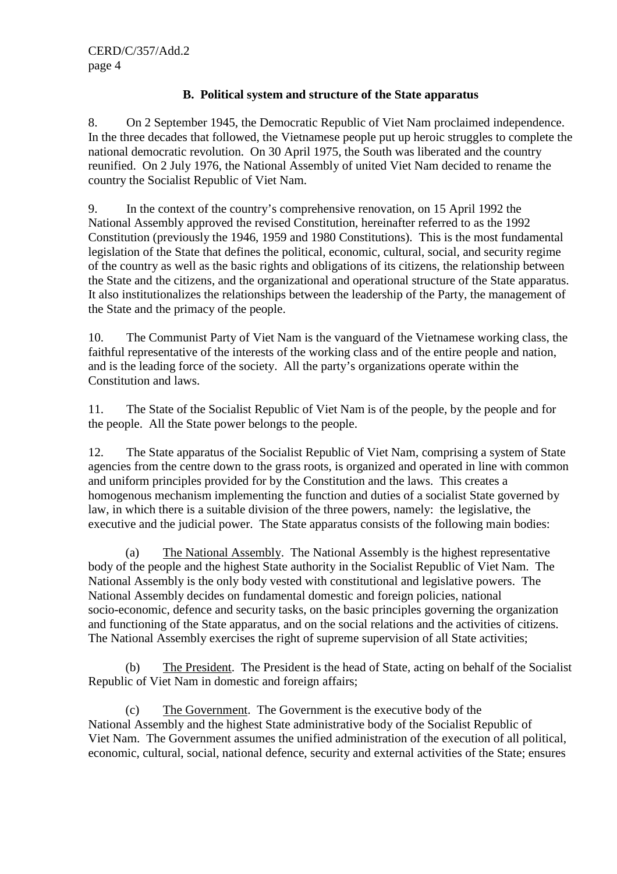## **B. Political system and structure of the State apparatus**

8. On 2 September 1945, the Democratic Republic of Viet Nam proclaimed independence. In the three decades that followed, the Vietnamese people put up heroic struggles to complete the national democratic revolution. On 30 April 1975, the South was liberated and the country reunified. On 2 July 1976, the National Assembly of united Viet Nam decided to rename the country the Socialist Republic of Viet Nam.

9. In the context of the country's comprehensive renovation, on 15 April 1992 the National Assembly approved the revised Constitution, hereinafter referred to as the 1992 Constitution (previously the 1946, 1959 and 1980 Constitutions). This is the most fundamental legislation of the State that defines the political, economic, cultural, social, and security regime of the country as well as the basic rights and obligations of its citizens, the relationship between the State and the citizens, and the organizational and operational structure of the State apparatus. It also institutionalizes the relationships between the leadership of the Party, the management of the State and the primacy of the people.

10. The Communist Party of Viet Nam is the vanguard of the Vietnamese working class, the faithful representative of the interests of the working class and of the entire people and nation, and is the leading force of the society. All the party's organizations operate within the Constitution and laws.

11. The State of the Socialist Republic of Viet Nam is of the people, by the people and for the people. All the State power belongs to the people.

12. The State apparatus of the Socialist Republic of Viet Nam, comprising a system of State agencies from the centre down to the grass roots, is organized and operated in line with common and uniform principles provided for by the Constitution and the laws. This creates a homogenous mechanism implementing the function and duties of a socialist State governed by law, in which there is a suitable division of the three powers, namely: the legislative, the executive and the judicial power. The State apparatus consists of the following main bodies:

(a) The National Assembly. The National Assembly is the highest representative body of the people and the highest State authority in the Socialist Republic of Viet Nam. The National Assembly is the only body vested with constitutional and legislative powers. The National Assembly decides on fundamental domestic and foreign policies, national socio-economic, defence and security tasks, on the basic principles governing the organization and functioning of the State apparatus, and on the social relations and the activities of citizens. The National Assembly exercises the right of supreme supervision of all State activities;

(b) The President. The President is the head of State, acting on behalf of the Socialist Republic of Viet Nam in domestic and foreign affairs;

(c) The Government. The Government is the executive body of the National Assembly and the highest State administrative body of the Socialist Republic of Viet Nam. The Government assumes the unified administration of the execution of all political, economic, cultural, social, national defence, security and external activities of the State; ensures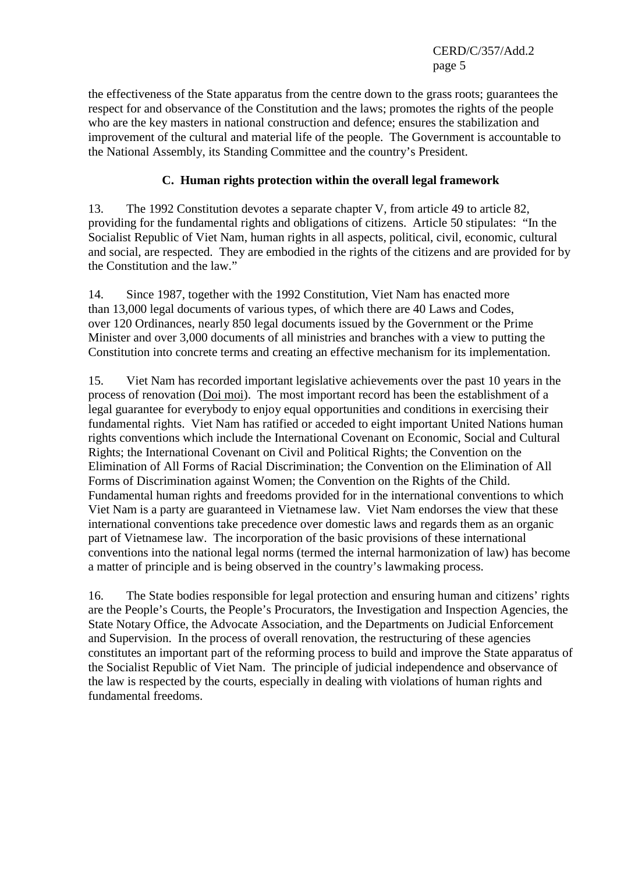the effectiveness of the State apparatus from the centre down to the grass roots; guarantees the respect for and observance of the Constitution and the laws; promotes the rights of the people who are the key masters in national construction and defence; ensures the stabilization and improvement of the cultural and material life of the people. The Government is accountable to the National Assembly, its Standing Committee and the country's President.

## **C. Human rights protection within the overall legal framework**

13. The 1992 Constitution devotes a separate chapter V, from article 49 to article 82, providing for the fundamental rights and obligations of citizens. Article 50 stipulates: "In the Socialist Republic of Viet Nam, human rights in all aspects, political, civil, economic, cultural and social, are respected. They are embodied in the rights of the citizens and are provided for by the Constitution and the law."

14. Since 1987, together with the 1992 Constitution, Viet Nam has enacted more than 13,000 legal documents of various types, of which there are 40 Laws and Codes, over 120 Ordinances, nearly 850 legal documents issued by the Government or the Prime Minister and over 3,000 documents of all ministries and branches with a view to putting the Constitution into concrete terms and creating an effective mechanism for its implementation.

15. Viet Nam has recorded important legislative achievements over the past 10 years in the process of renovation (Doi moi). The most important record has been the establishment of a legal guarantee for everybody to enjoy equal opportunities and conditions in exercising their fundamental rights. Viet Nam has ratified or acceded to eight important United Nations human rights conventions which include the International Covenant on Economic, Social and Cultural Rights; the International Covenant on Civil and Political Rights; the Convention on the Elimination of All Forms of Racial Discrimination; the Convention on the Elimination of All Forms of Discrimination against Women; the Convention on the Rights of the Child. Fundamental human rights and freedoms provided for in the international conventions to which Viet Nam is a party are guaranteed in Vietnamese law. Viet Nam endorses the view that these international conventions take precedence over domestic laws and regards them as an organic part of Vietnamese law. The incorporation of the basic provisions of these international conventions into the national legal norms (termed the internal harmonization of law) has become a matter of principle and is being observed in the country's lawmaking process.

16. The State bodies responsible for legal protection and ensuring human and citizens' rights are the People's Courts, the People's Procurators, the Investigation and Inspection Agencies, the State Notary Office, the Advocate Association, and the Departments on Judicial Enforcement and Supervision. In the process of overall renovation, the restructuring of these agencies constitutes an important part of the reforming process to build and improve the State apparatus of the Socialist Republic of Viet Nam. The principle of judicial independence and observance of the law is respected by the courts, especially in dealing with violations of human rights and fundamental freedoms.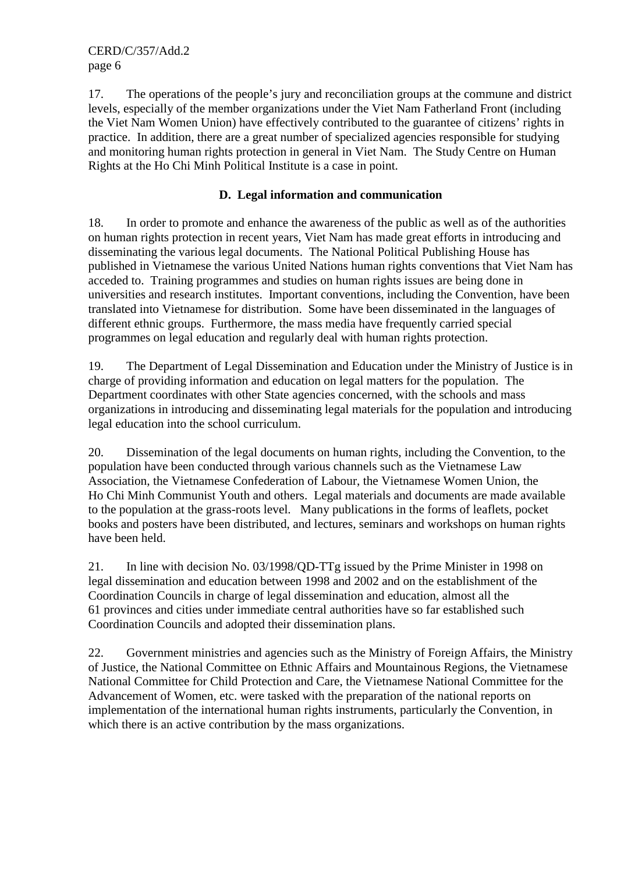17. The operations of the people's jury and reconciliation groups at the commune and district levels, especially of the member organizations under the Viet Nam Fatherland Front (including the Viet Nam Women Union) have effectively contributed to the guarantee of citizens' rights in practice. In addition, there are a great number of specialized agencies responsible for studying and monitoring human rights protection in general in Viet Nam. The Study Centre on Human Rights at the Ho Chi Minh Political Institute is a case in point.

## **D. Legal information and communication**

18. In order to promote and enhance the awareness of the public as well as of the authorities on human rights protection in recent years, Viet Nam has made great efforts in introducing and disseminating the various legal documents. The National Political Publishing House has published in Vietnamese the various United Nations human rights conventions that Viet Nam has acceded to. Training programmes and studies on human rights issues are being done in universities and research institutes. Important conventions, including the Convention, have been translated into Vietnamese for distribution. Some have been disseminated in the languages of different ethnic groups. Furthermore, the mass media have frequently carried special programmes on legal education and regularly deal with human rights protection.

19. The Department of Legal Dissemination and Education under the Ministry of Justice is in charge of providing information and education on legal matters for the population. The Department coordinates with other State agencies concerned, with the schools and mass organizations in introducing and disseminating legal materials for the population and introducing legal education into the school curriculum.

20. Dissemination of the legal documents on human rights, including the Convention, to the population have been conducted through various channels such as the Vietnamese Law Association, the Vietnamese Confederation of Labour, the Vietnamese Women Union, the Ho Chi Minh Communist Youth and others. Legal materials and documents are made available to the population at the grass-roots level. Many publications in the forms of leaflets, pocket books and posters have been distributed, and lectures, seminars and workshops on human rights have been held.

21. In line with decision No. 03/1998/QD-TTg issued by the Prime Minister in 1998 on legal dissemination and education between 1998 and 2002 and on the establishment of the Coordination Councils in charge of legal dissemination and education, almost all the 61 provinces and cities under immediate central authorities have so far established such Coordination Councils and adopted their dissemination plans.

22. Government ministries and agencies such as the Ministry of Foreign Affairs, the Ministry of Justice, the National Committee on Ethnic Affairs and Mountainous Regions, the Vietnamese National Committee for Child Protection and Care, the Vietnamese National Committee for the Advancement of Women, etc. were tasked with the preparation of the national reports on implementation of the international human rights instruments, particularly the Convention, in which there is an active contribution by the mass organizations.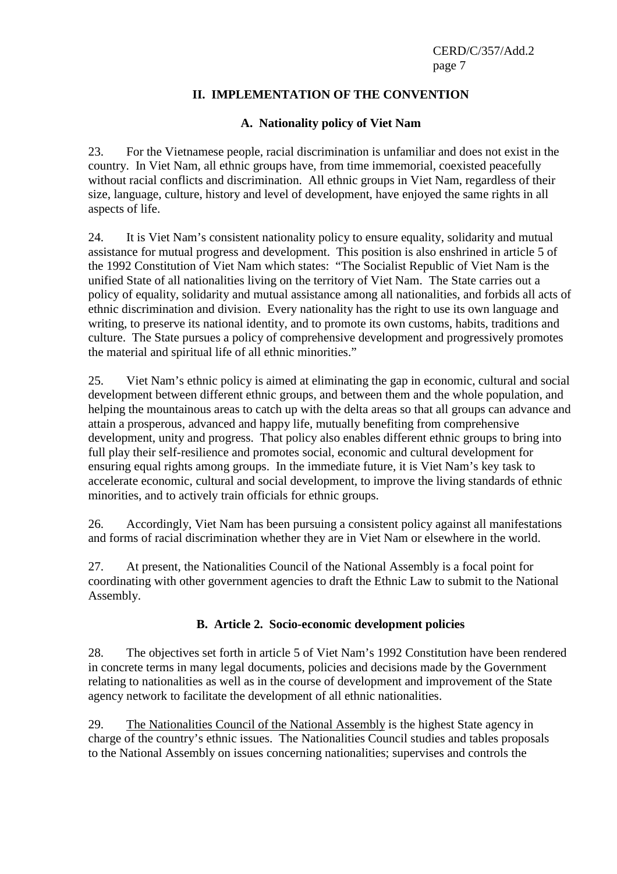## **II. IMPLEMENTATION OF THE CONVENTION**

## **A. Nationality policy of Viet Nam**

23. For the Vietnamese people, racial discrimination is unfamiliar and does not exist in the country. In Viet Nam, all ethnic groups have, from time immemorial, coexisted peacefully without racial conflicts and discrimination. All ethnic groups in Viet Nam, regardless of their size, language, culture, history and level of development, have enjoyed the same rights in all aspects of life.

24. It is Viet Nam's consistent nationality policy to ensure equality, solidarity and mutual assistance for mutual progress and development. This position is also enshrined in article 5 of the 1992 Constitution of Viet Nam which states: "The Socialist Republic of Viet Nam is the unified State of all nationalities living on the territory of Viet Nam. The State carries out a policy of equality, solidarity and mutual assistance among all nationalities, and forbids all acts of ethnic discrimination and division. Every nationality has the right to use its own language and writing, to preserve its national identity, and to promote its own customs, habits, traditions and culture. The State pursues a policy of comprehensive development and progressively promotes the material and spiritual life of all ethnic minorities."

25. Viet Nam's ethnic policy is aimed at eliminating the gap in economic, cultural and social development between different ethnic groups, and between them and the whole population, and helping the mountainous areas to catch up with the delta areas so that all groups can advance and attain a prosperous, advanced and happy life, mutually benefiting from comprehensive development, unity and progress. That policy also enables different ethnic groups to bring into full play their self-resilience and promotes social, economic and cultural development for ensuring equal rights among groups. In the immediate future, it is Viet Nam's key task to accelerate economic, cultural and social development, to improve the living standards of ethnic minorities, and to actively train officials for ethnic groups.

26. Accordingly, Viet Nam has been pursuing a consistent policy against all manifestations and forms of racial discrimination whether they are in Viet Nam or elsewhere in the world.

27. At present, the Nationalities Council of the National Assembly is a focal point for coordinating with other government agencies to draft the Ethnic Law to submit to the National Assembly.

# **B. Article 2. Socio-economic development policies**

28. The objectives set forth in article 5 of Viet Nam's 1992 Constitution have been rendered in concrete terms in many legal documents, policies and decisions made by the Government relating to nationalities as well as in the course of development and improvement of the State agency network to facilitate the development of all ethnic nationalities.

29. The Nationalities Council of the National Assembly is the highest State agency in charge of the country's ethnic issues. The Nationalities Council studies and tables proposals to the National Assembly on issues concerning nationalities; supervises and controls the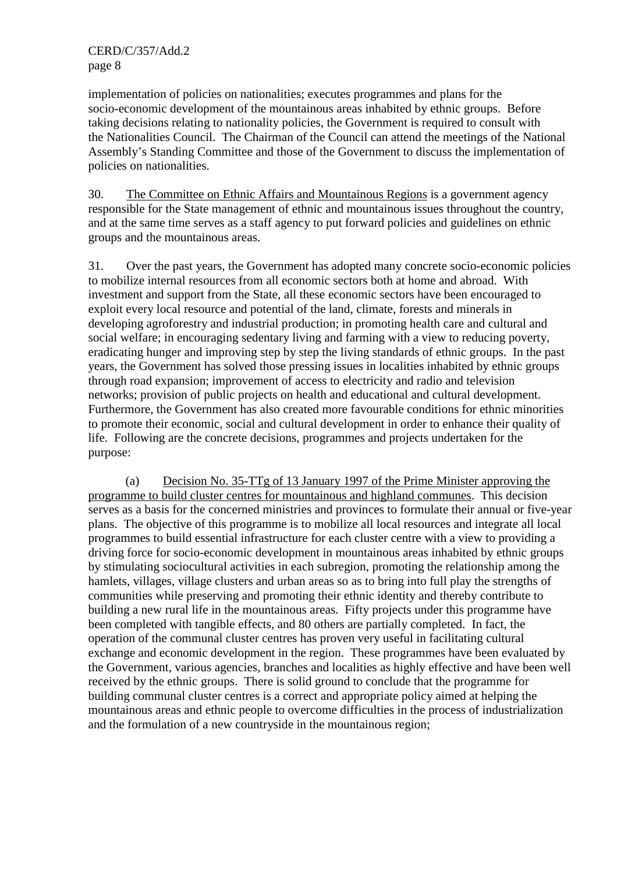implementation of policies on nationalities; executes programmes and plans for the socio-economic development of the mountainous areas inhabited by ethnic groups. Before taking decisions relating to nationality policies, the Government is required to consult with the Nationalities Council. The Chairman of the Council can attend the meetings of the National Assembly's Standing Committee and those of the Government to discuss the implementation of policies on nationalities.

30. The Committee on Ethnic Affairs and Mountainous Regions is a government agency responsible for the State management of ethnic and mountainous issues throughout the country, and at the same time serves as a staff agency to put forward policies and guidelines on ethnic groups and the mountainous areas.

31. Over the past years, the Government has adopted many concrete socio-economic policies to mobilize internal resources from all economic sectors both at home and abroad. With investment and support from the State, all these economic sectors have been encouraged to exploit every local resource and potential of the land, climate, forests and minerals in developing agroforestry and industrial production; in promoting health care and cultural and social welfare; in encouraging sedentary living and farming with a view to reducing poverty, eradicating hunger and improving step by step the living standards of ethnic groups. In the past years, the Government has solved those pressing issues in localities inhabited by ethnic groups through road expansion; improvement of access to electricity and radio and television networks; provision of public projects on health and educational and cultural development. Furthermore, the Government has also created more favourable conditions for ethnic minorities to promote their economic, social and cultural development in order to enhance their quality of life. Following are the concrete decisions, programmes and projects undertaken for the purpose:

(a) Decision No. 35-TTg of 13 January 1997 of the Prime Minister approving the programme to build cluster centres for mountainous and highland communes. This decision serves as a basis for the concerned ministries and provinces to formulate their annual or five-year plans. The objective of this programme is to mobilize all local resources and integrate all local programmes to build essential infrastructure for each cluster centre with a view to providing a driving force for socio-economic development in mountainous areas inhabited by ethnic groups by stimulating sociocultural activities in each subregion, promoting the relationship among the hamlets, villages, village clusters and urban areas so as to bring into full play the strengths of communities while preserving and promoting their ethnic identity and thereby contribute to building a new rural life in the mountainous areas. Fifty projects under this programme have been completed with tangible effects, and 80 others are partially completed. In fact, the operation of the communal cluster centres has proven very useful in facilitating cultural exchange and economic development in the region. These programmes have been evaluated by the Government, various agencies, branches and localities as highly effective and have been well received by the ethnic groups. There is solid ground to conclude that the programme for building communal cluster centres is a correct and appropriate policy aimed at helping the mountainous areas and ethnic people to overcome difficulties in the process of industrialization and the formulation of a new countryside in the mountainous region;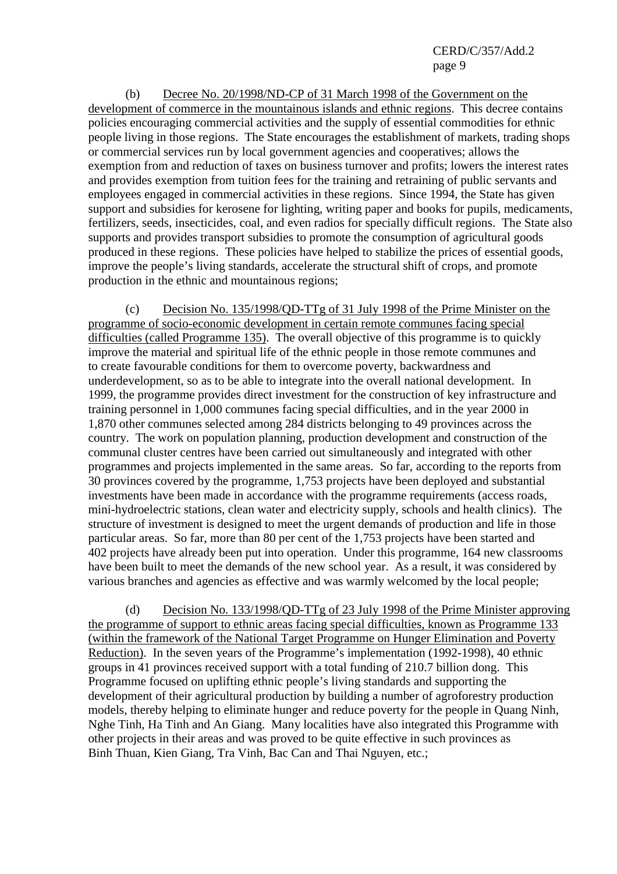(b) Decree No. 20/1998/ND-CP of 31 March 1998 of the Government on the development of commerce in the mountainous islands and ethnic regions. This decree contains policies encouraging commercial activities and the supply of essential commodities for ethnic people living in those regions. The State encourages the establishment of markets, trading shops or commercial services run by local government agencies and cooperatives; allows the exemption from and reduction of taxes on business turnover and profits; lowers the interest rates and provides exemption from tuition fees for the training and retraining of public servants and employees engaged in commercial activities in these regions. Since 1994, the State has given support and subsidies for kerosene for lighting, writing paper and books for pupils, medicaments, fertilizers, seeds, insecticides, coal, and even radios for specially difficult regions. The State also supports and provides transport subsidies to promote the consumption of agricultural goods produced in these regions. These policies have helped to stabilize the prices of essential goods, improve the people's living standards, accelerate the structural shift of crops, and promote production in the ethnic and mountainous regions;

(c) Decision No. 135/1998/QD-TTg of 31 July 1998 of the Prime Minister on the programme of socio-economic development in certain remote communes facing special difficulties (called Programme 135). The overall objective of this programme is to quickly improve the material and spiritual life of the ethnic people in those remote communes and to create favourable conditions for them to overcome poverty, backwardness and underdevelopment, so as to be able to integrate into the overall national development. In 1999, the programme provides direct investment for the construction of key infrastructure and training personnel in 1,000 communes facing special difficulties, and in the year 2000 in 1,870 other communes selected among 284 districts belonging to 49 provinces across the country. The work on population planning, production development and construction of the communal cluster centres have been carried out simultaneously and integrated with other programmes and projects implemented in the same areas. So far, according to the reports from 30 provinces covered by the programme, 1,753 projects have been deployed and substantial investments have been made in accordance with the programme requirements (access roads, mini-hydroelectric stations, clean water and electricity supply, schools and health clinics). The structure of investment is designed to meet the urgent demands of production and life in those particular areas. So far, more than 80 per cent of the 1,753 projects have been started and 402 projects have already been put into operation. Under this programme, 164 new classrooms have been built to meet the demands of the new school year. As a result, it was considered by various branches and agencies as effective and was warmly welcomed by the local people;

(d) Decision No. 133/1998/QD-TTg of 23 July 1998 of the Prime Minister approving the programme of support to ethnic areas facing special difficulties, known as Programme 133 (within the framework of the National Target Programme on Hunger Elimination and Poverty Reduction). In the seven years of the Programme's implementation (1992-1998), 40 ethnic groups in 41 provinces received support with a total funding of 210.7 billion dong. This Programme focused on uplifting ethnic people's living standards and supporting the development of their agricultural production by building a number of agroforestry production models, thereby helping to eliminate hunger and reduce poverty for the people in Quang Ninh, Nghe Tinh, Ha Tinh and An Giang. Many localities have also integrated this Programme with other projects in their areas and was proved to be quite effective in such provinces as Binh Thuan, Kien Giang, Tra Vinh, Bac Can and Thai Nguyen, etc.;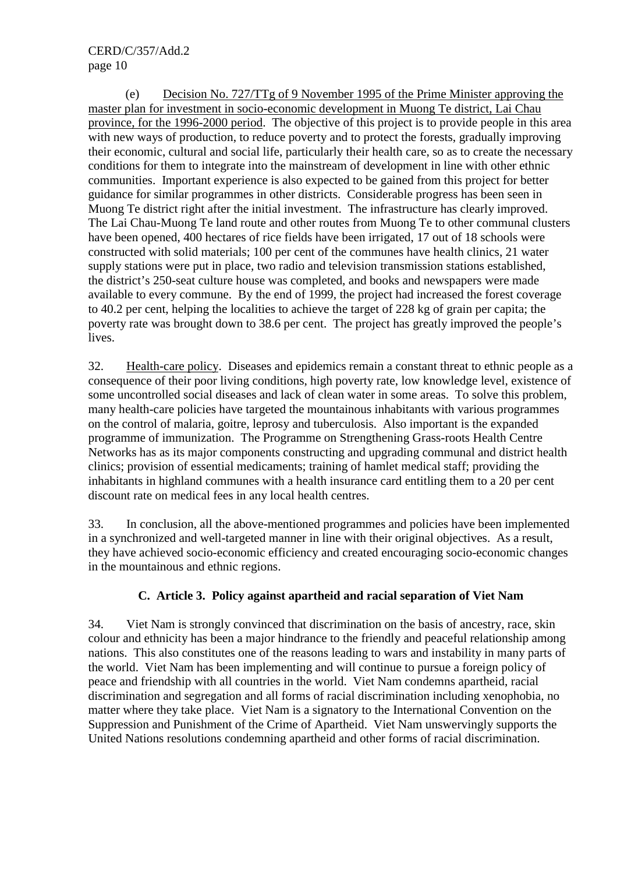(e) Decision No. 727/TTg of 9 November 1995 of the Prime Minister approving the master plan for investment in socio-economic development in Muong Te district, Lai Chau province, for the 1996-2000 period. The objective of this project is to provide people in this area with new ways of production, to reduce poverty and to protect the forests, gradually improving their economic, cultural and social life, particularly their health care, so as to create the necessary conditions for them to integrate into the mainstream of development in line with other ethnic communities. Important experience is also expected to be gained from this project for better guidance for similar programmes in other districts. Considerable progress has been seen in Muong Te district right after the initial investment. The infrastructure has clearly improved. The Lai Chau-Muong Te land route and other routes from Muong Te to other communal clusters have been opened, 400 hectares of rice fields have been irrigated, 17 out of 18 schools were constructed with solid materials; 100 per cent of the communes have health clinics, 21 water supply stations were put in place, two radio and television transmission stations established, the district's 250-seat culture house was completed, and books and newspapers were made available to every commune. By the end of 1999, the project had increased the forest coverage to 40.2 per cent, helping the localities to achieve the target of 228 kg of grain per capita; the poverty rate was brought down to 38.6 per cent. The project has greatly improved the people's lives.

32. Health-care policy. Diseases and epidemics remain a constant threat to ethnic people as a consequence of their poor living conditions, high poverty rate, low knowledge level, existence of some uncontrolled social diseases and lack of clean water in some areas. To solve this problem, many health-care policies have targeted the mountainous inhabitants with various programmes on the control of malaria, goitre, leprosy and tuberculosis. Also important is the expanded programme of immunization. The Programme on Strengthening Grass-roots Health Centre Networks has as its major components constructing and upgrading communal and district health clinics; provision of essential medicaments; training of hamlet medical staff; providing the inhabitants in highland communes with a health insurance card entitling them to a 20 per cent discount rate on medical fees in any local health centres.

33. In conclusion, all the above-mentioned programmes and policies have been implemented in a synchronized and well-targeted manner in line with their original objectives. As a result, they have achieved socio-economic efficiency and created encouraging socio-economic changes in the mountainous and ethnic regions.

# **C. Article 3. Policy against apartheid and racial separation of Viet Nam**

34. Viet Nam is strongly convinced that discrimination on the basis of ancestry, race, skin colour and ethnicity has been a major hindrance to the friendly and peaceful relationship among nations. This also constitutes one of the reasons leading to wars and instability in many parts of the world. Viet Nam has been implementing and will continue to pursue a foreign policy of peace and friendship with all countries in the world. Viet Nam condemns apartheid, racial discrimination and segregation and all forms of racial discrimination including xenophobia, no matter where they take place. Viet Nam is a signatory to the International Convention on the Suppression and Punishment of the Crime of Apartheid. Viet Nam unswervingly supports the United Nations resolutions condemning apartheid and other forms of racial discrimination.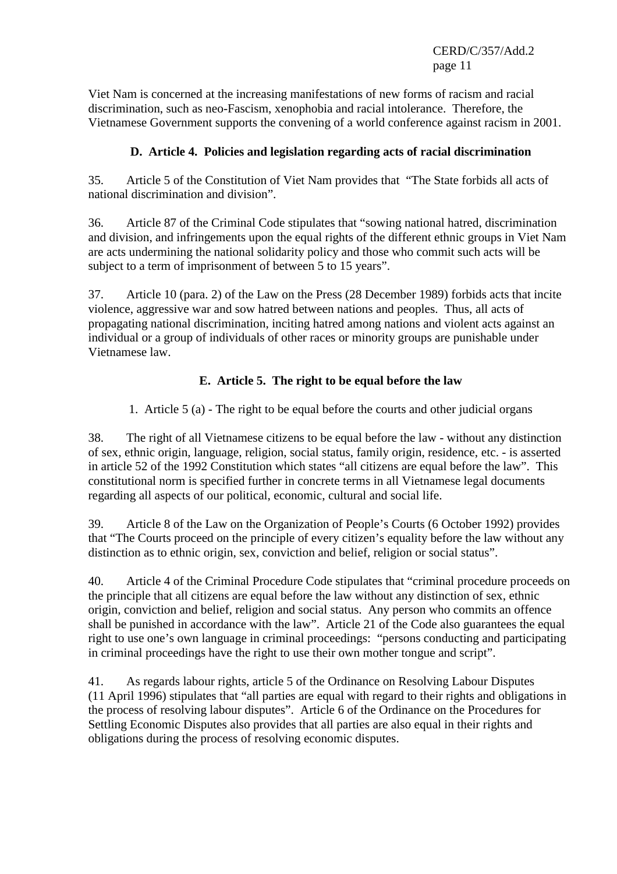Viet Nam is concerned at the increasing manifestations of new forms of racism and racial discrimination, such as neo-Fascism, xenophobia and racial intolerance. Therefore, the Vietnamese Government supports the convening of a world conference against racism in 2001.

# **D. Article 4. Policies and legislation regarding acts of racial discrimination**

35. Article 5 of the Constitution of Viet Nam provides that "The State forbids all acts of national discrimination and division".

36. Article 87 of the Criminal Code stipulates that "sowing national hatred, discrimination and division, and infringements upon the equal rights of the different ethnic groups in Viet Nam are acts undermining the national solidarity policy and those who commit such acts will be subject to a term of imprisonment of between 5 to 15 years".

37. Article 10 (para. 2) of the Law on the Press (28 December 1989) forbids acts that incite violence, aggressive war and sow hatred between nations and peoples. Thus, all acts of propagating national discrimination, inciting hatred among nations and violent acts against an individual or a group of individuals of other races or minority groups are punishable under Vietnamese law.

# **E. Article 5. The right to be equal before the law**

1. Article 5 (a) - The right to be equal before the courts and other judicial organs

38. The right of all Vietnamese citizens to be equal before the law - without any distinction of sex, ethnic origin, language, religion, social status, family origin, residence, etc. - is asserted in article 52 of the 1992 Constitution which states "all citizens are equal before the law". This constitutional norm is specified further in concrete terms in all Vietnamese legal documents regarding all aspects of our political, economic, cultural and social life.

39. Article 8 of the Law on the Organization of People's Courts (6 October 1992) provides that "The Courts proceed on the principle of every citizen's equality before the law without any distinction as to ethnic origin, sex, conviction and belief, religion or social status".

40. Article 4 of the Criminal Procedure Code stipulates that "criminal procedure proceeds on the principle that all citizens are equal before the law without any distinction of sex, ethnic origin, conviction and belief, religion and social status. Any person who commits an offence shall be punished in accordance with the law". Article 21 of the Code also guarantees the equal right to use one's own language in criminal proceedings: "persons conducting and participating in criminal proceedings have the right to use their own mother tongue and script".

41. As regards labour rights, article 5 of the Ordinance on Resolving Labour Disputes (11 April 1996) stipulates that "all parties are equal with regard to their rights and obligations in the process of resolving labour disputes". Article 6 of the Ordinance on the Procedures for Settling Economic Disputes also provides that all parties are also equal in their rights and obligations during the process of resolving economic disputes.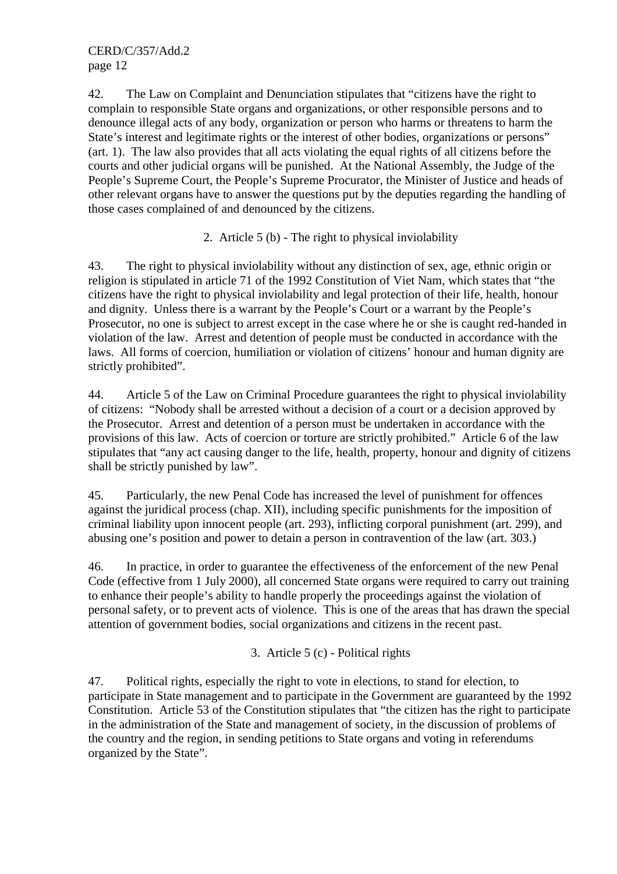42. The Law on Complaint and Denunciation stipulates that "citizens have the right to complain to responsible State organs and organizations, or other responsible persons and to denounce illegal acts of any body, organization or person who harms or threatens to harm the State's interest and legitimate rights or the interest of other bodies, organizations or persons" (art. 1). The law also provides that all acts violating the equal rights of all citizens before the courts and other judicial organs will be punished. At the National Assembly, the Judge of the People's Supreme Court, the People's Supreme Procurator, the Minister of Justice and heads of other relevant organs have to answer the questions put by the deputies regarding the handling of those cases complained of and denounced by the citizens.

2. Article 5 (b) - The right to physical inviolability

43. The right to physical inviolability without any distinction of sex, age, ethnic origin or religion is stipulated in article 71 of the 1992 Constitution of Viet Nam, which states that "the citizens have the right to physical inviolability and legal protection of their life, health, honour and dignity. Unless there is a warrant by the People's Court or a warrant by the People's Prosecutor, no one is subject to arrest except in the case where he or she is caught red-handed in violation of the law. Arrest and detention of people must be conducted in accordance with the laws. All forms of coercion, humiliation or violation of citizens' honour and human dignity are strictly prohibited".

44. Article 5 of the Law on Criminal Procedure guarantees the right to physical inviolability of citizens: "Nobody shall be arrested without a decision of a court or a decision approved by the Prosecutor. Arrest and detention of a person must be undertaken in accordance with the provisions of this law. Acts of coercion or torture are strictly prohibited." Article 6 of the law stipulates that "any act causing danger to the life, health, property, honour and dignity of citizens shall be strictly punished by law".

45. Particularly, the new Penal Code has increased the level of punishment for offences against the juridical process (chap. XII), including specific punishments for the imposition of criminal liability upon innocent people (art. 293), inflicting corporal punishment (art. 299), and abusing one's position and power to detain a person in contravention of the law (art. 303.)

46. In practice, in order to guarantee the effectiveness of the enforcement of the new Penal Code (effective from 1 July 2000), all concerned State organs were required to carry out training to enhance their people's ability to handle properly the proceedings against the violation of personal safety, or to prevent acts of violence. This is one of the areas that has drawn the special attention of government bodies, social organizations and citizens in the recent past.

3. Article 5 (c) - Political rights

47. Political rights, especially the right to vote in elections, to stand for election, to participate in State management and to participate in the Government are guaranteed by the 1992 Constitution. Article 53 of the Constitution stipulates that "the citizen has the right to participate in the administration of the State and management of society, in the discussion of problems of the country and the region, in sending petitions to State organs and voting in referendums organized by the State".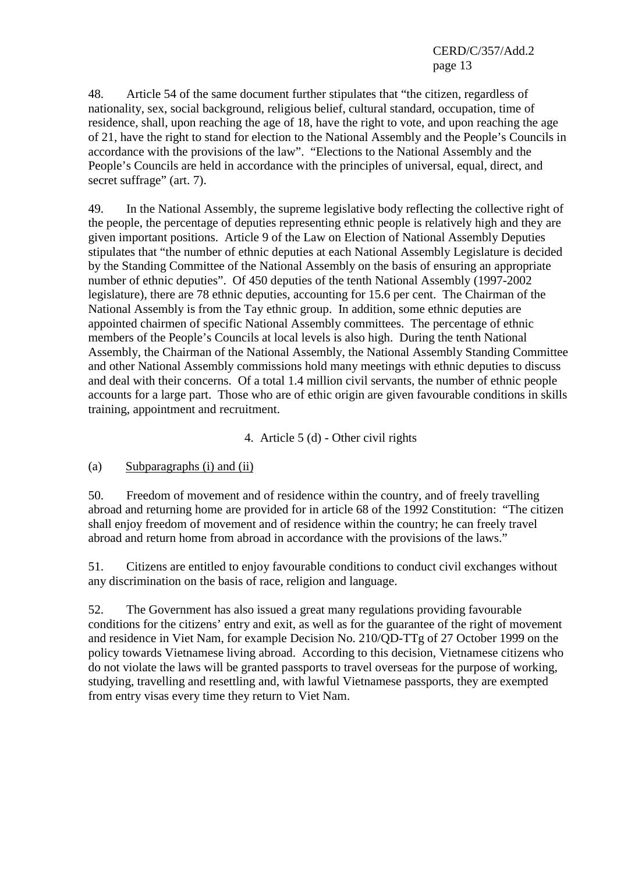48. Article 54 of the same document further stipulates that "the citizen, regardless of nationality, sex, social background, religious belief, cultural standard, occupation, time of residence, shall, upon reaching the age of 18, have the right to vote, and upon reaching the age of 21, have the right to stand for election to the National Assembly and the People's Councils in accordance with the provisions of the law". "Elections to the National Assembly and the People's Councils are held in accordance with the principles of universal, equal, direct, and secret suffrage" (art. 7).

49. In the National Assembly, the supreme legislative body reflecting the collective right of the people, the percentage of deputies representing ethnic people is relatively high and they are given important positions. Article 9 of the Law on Election of National Assembly Deputies stipulates that "the number of ethnic deputies at each National Assembly Legislature is decided by the Standing Committee of the National Assembly on the basis of ensuring an appropriate number of ethnic deputies". Of 450 deputies of the tenth National Assembly (1997-2002 legislature), there are 78 ethnic deputies, accounting for 15.6 per cent. The Chairman of the National Assembly is from the Tay ethnic group. In addition, some ethnic deputies are appointed chairmen of specific National Assembly committees. The percentage of ethnic members of the People's Councils at local levels is also high. During the tenth National Assembly, the Chairman of the National Assembly, the National Assembly Standing Committee and other National Assembly commissions hold many meetings with ethnic deputies to discuss and deal with their concerns. Of a total 1.4 million civil servants, the number of ethnic people accounts for a large part. Those who are of ethic origin are given favourable conditions in skills training, appointment and recruitment.

## 4. Article 5 (d) - Other civil rights

## (a) Subparagraphs (i) and (ii)

50. Freedom of movement and of residence within the country, and of freely travelling abroad and returning home are provided for in article 68 of the 1992 Constitution: "The citizen shall enjoy freedom of movement and of residence within the country; he can freely travel abroad and return home from abroad in accordance with the provisions of the laws."

51. Citizens are entitled to enjoy favourable conditions to conduct civil exchanges without any discrimination on the basis of race, religion and language.

52. The Government has also issued a great many regulations providing favourable conditions for the citizens' entry and exit, as well as for the guarantee of the right of movement and residence in Viet Nam, for example Decision No. 210/QD-TTg of 27 October 1999 on the policy towards Vietnamese living abroad. According to this decision, Vietnamese citizens who do not violate the laws will be granted passports to travel overseas for the purpose of working, studying, travelling and resettling and, with lawful Vietnamese passports, they are exempted from entry visas every time they return to Viet Nam.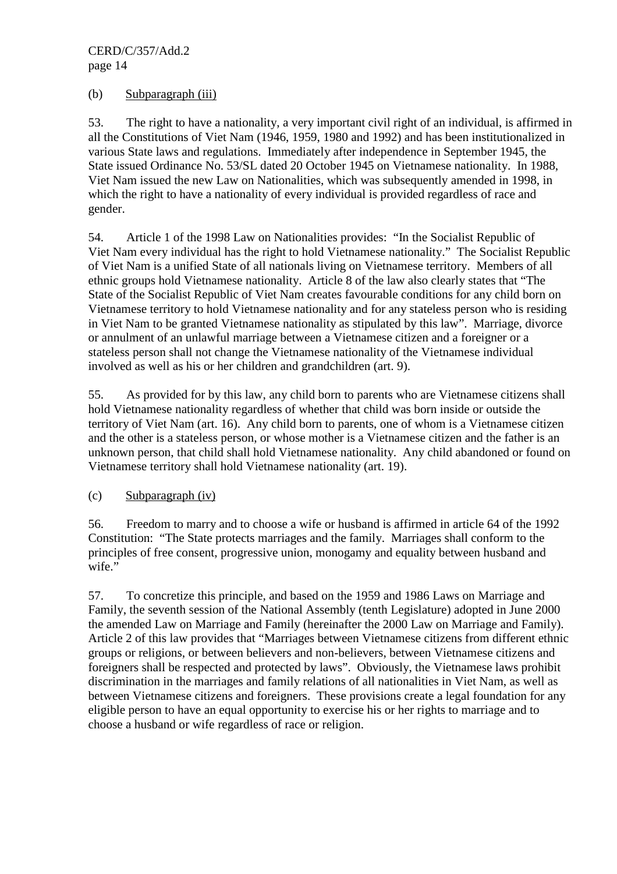## (b) Subparagraph (iii)

53. The right to have a nationality, a very important civil right of an individual, is affirmed in all the Constitutions of Viet Nam (1946, 1959, 1980 and 1992) and has been institutionalized in various State laws and regulations. Immediately after independence in September 1945, the State issued Ordinance No. 53/SL dated 20 October 1945 on Vietnamese nationality. In 1988, Viet Nam issued the new Law on Nationalities, which was subsequently amended in 1998, in which the right to have a nationality of every individual is provided regardless of race and gender.

54. Article 1 of the 1998 Law on Nationalities provides: "In the Socialist Republic of Viet Nam every individual has the right to hold Vietnamese nationality." The Socialist Republic of Viet Nam is a unified State of all nationals living on Vietnamese territory. Members of all ethnic groups hold Vietnamese nationality. Article 8 of the law also clearly states that "The State of the Socialist Republic of Viet Nam creates favourable conditions for any child born on Vietnamese territory to hold Vietnamese nationality and for any stateless person who is residing in Viet Nam to be granted Vietnamese nationality as stipulated by this law". Marriage, divorce or annulment of an unlawful marriage between a Vietnamese citizen and a foreigner or a stateless person shall not change the Vietnamese nationality of the Vietnamese individual involved as well as his or her children and grandchildren (art. 9).

55. As provided for by this law, any child born to parents who are Vietnamese citizens shall hold Vietnamese nationality regardless of whether that child was born inside or outside the territory of Viet Nam (art. 16). Any child born to parents, one of whom is a Vietnamese citizen and the other is a stateless person, or whose mother is a Vietnamese citizen and the father is an unknown person, that child shall hold Vietnamese nationality. Any child abandoned or found on Vietnamese territory shall hold Vietnamese nationality (art. 19).

(c) Subparagraph (iv)

56. Freedom to marry and to choose a wife or husband is affirmed in article 64 of the 1992 Constitution: "The State protects marriages and the family. Marriages shall conform to the principles of free consent, progressive union, monogamy and equality between husband and wife."

57. To concretize this principle, and based on the 1959 and 1986 Laws on Marriage and Family, the seventh session of the National Assembly (tenth Legislature) adopted in June 2000 the amended Law on Marriage and Family (hereinafter the 2000 Law on Marriage and Family). Article 2 of this law provides that "Marriages between Vietnamese citizens from different ethnic groups or religions, or between believers and non-believers, between Vietnamese citizens and foreigners shall be respected and protected by laws". Obviously, the Vietnamese laws prohibit discrimination in the marriages and family relations of all nationalities in Viet Nam, as well as between Vietnamese citizens and foreigners. These provisions create a legal foundation for any eligible person to have an equal opportunity to exercise his or her rights to marriage and to choose a husband or wife regardless of race or religion.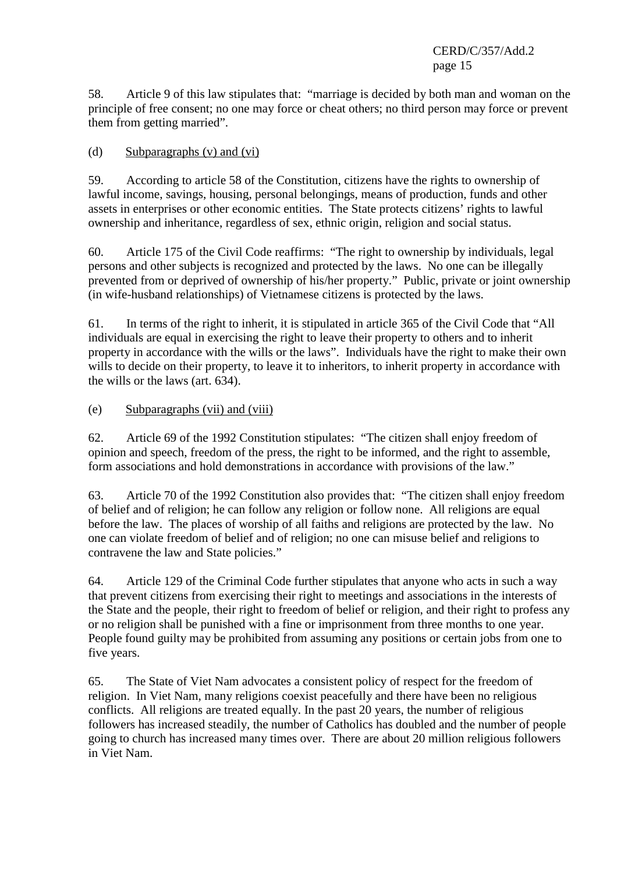58. Article 9 of this law stipulates that: "marriage is decided by both man and woman on the principle of free consent; no one may force or cheat others; no third person may force or prevent them from getting married".

## (d) Subparagraphs (v) and (vi)

59. According to article 58 of the Constitution, citizens have the rights to ownership of lawful income, savings, housing, personal belongings, means of production, funds and other assets in enterprises or other economic entities. The State protects citizens' rights to lawful ownership and inheritance, regardless of sex, ethnic origin, religion and social status.

60. Article 175 of the Civil Code reaffirms: "The right to ownership by individuals, legal persons and other subjects is recognized and protected by the laws. No one can be illegally prevented from or deprived of ownership of his/her property." Public, private or joint ownership (in wife-husband relationships) of Vietnamese citizens is protected by the laws.

61. In terms of the right to inherit, it is stipulated in article 365 of the Civil Code that "All individuals are equal in exercising the right to leave their property to others and to inherit property in accordance with the wills or the laws". Individuals have the right to make their own wills to decide on their property, to leave it to inheritors, to inherit property in accordance with the wills or the laws (art. 634).

#### (e) Subparagraphs (vii) and (viii)

62. Article 69 of the 1992 Constitution stipulates: "The citizen shall enjoy freedom of opinion and speech, freedom of the press, the right to be informed, and the right to assemble, form associations and hold demonstrations in accordance with provisions of the law."

63. Article 70 of the 1992 Constitution also provides that: "The citizen shall enjoy freedom of belief and of religion; he can follow any religion or follow none. All religions are equal before the law. The places of worship of all faiths and religions are protected by the law. No one can violate freedom of belief and of religion; no one can misuse belief and religions to contravene the law and State policies."

64. Article 129 of the Criminal Code further stipulates that anyone who acts in such a way that prevent citizens from exercising their right to meetings and associations in the interests of the State and the people, their right to freedom of belief or religion, and their right to profess any or no religion shall be punished with a fine or imprisonment from three months to one year. People found guilty may be prohibited from assuming any positions or certain jobs from one to five years.

65. The State of Viet Nam advocates a consistent policy of respect for the freedom of religion. In Viet Nam, many religions coexist peacefully and there have been no religious conflicts. All religions are treated equally. In the past 20 years, the number of religious followers has increased steadily, the number of Catholics has doubled and the number of people going to church has increased many times over. There are about 20 million religious followers in Viet Nam.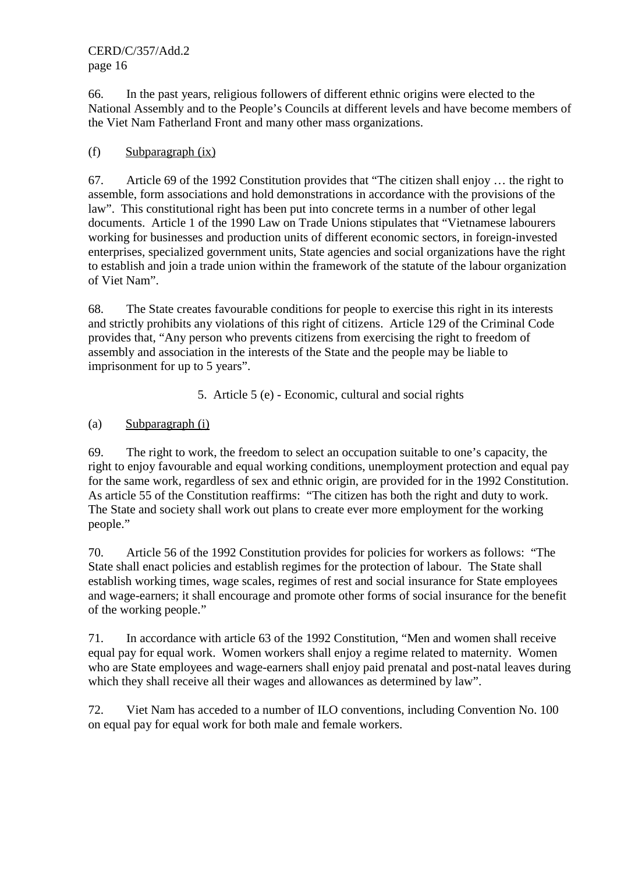66. In the past years, religious followers of different ethnic origins were elected to the National Assembly and to the People's Councils at different levels and have become members of the Viet Nam Fatherland Front and many other mass organizations.

## (f) Subparagraph (ix)

67. Article 69 of the 1992 Constitution provides that "The citizen shall enjoy … the right to assemble, form associations and hold demonstrations in accordance with the provisions of the law". This constitutional right has been put into concrete terms in a number of other legal documents. Article 1 of the 1990 Law on Trade Unions stipulates that "Vietnamese labourers working for businesses and production units of different economic sectors, in foreign-invested enterprises, specialized government units, State agencies and social organizations have the right to establish and join a trade union within the framework of the statute of the labour organization of Viet Nam".

68. The State creates favourable conditions for people to exercise this right in its interests and strictly prohibits any violations of this right of citizens. Article 129 of the Criminal Code provides that, "Any person who prevents citizens from exercising the right to freedom of assembly and association in the interests of the State and the people may be liable to imprisonment for up to 5 years".

5. Article 5 (e) - Economic, cultural and social rights

(a) Subparagraph (i)

69. The right to work, the freedom to select an occupation suitable to one's capacity, the right to enjoy favourable and equal working conditions, unemployment protection and equal pay for the same work, regardless of sex and ethnic origin, are provided for in the 1992 Constitution. As article 55 of the Constitution reaffirms: "The citizen has both the right and duty to work. The State and society shall work out plans to create ever more employment for the working people."

70. Article 56 of the 1992 Constitution provides for policies for workers as follows: "The State shall enact policies and establish regimes for the protection of labour. The State shall establish working times, wage scales, regimes of rest and social insurance for State employees and wage-earners; it shall encourage and promote other forms of social insurance for the benefit of the working people."

71. In accordance with article 63 of the 1992 Constitution, "Men and women shall receive equal pay for equal work. Women workers shall enjoy a regime related to maternity. Women who are State employees and wage-earners shall enjoy paid prenatal and post-natal leaves during which they shall receive all their wages and allowances as determined by law".

72. Viet Nam has acceded to a number of ILO conventions, including Convention No. 100 on equal pay for equal work for both male and female workers.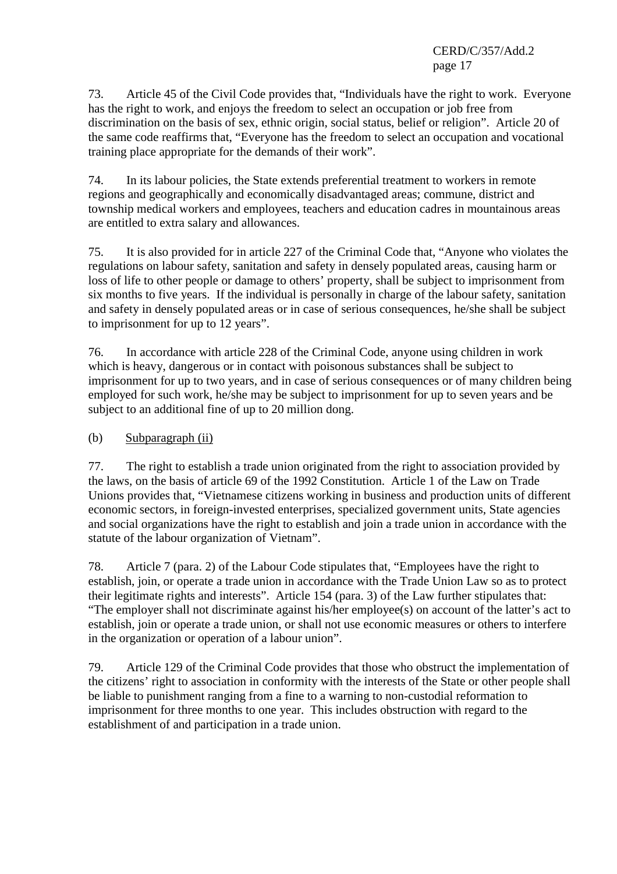73. Article 45 of the Civil Code provides that, "Individuals have the right to work. Everyone has the right to work, and enjoys the freedom to select an occupation or job free from discrimination on the basis of sex, ethnic origin, social status, belief or religion". Article 20 of the same code reaffirms that, "Everyone has the freedom to select an occupation and vocational training place appropriate for the demands of their work".

74. In its labour policies, the State extends preferential treatment to workers in remote regions and geographically and economically disadvantaged areas; commune, district and township medical workers and employees, teachers and education cadres in mountainous areas are entitled to extra salary and allowances.

75. It is also provided for in article 227 of the Criminal Code that, "Anyone who violates the regulations on labour safety, sanitation and safety in densely populated areas, causing harm or loss of life to other people or damage to others' property, shall be subject to imprisonment from six months to five years. If the individual is personally in charge of the labour safety, sanitation and safety in densely populated areas or in case of serious consequences, he/she shall be subject to imprisonment for up to 12 years".

76. In accordance with article 228 of the Criminal Code, anyone using children in work which is heavy, dangerous or in contact with poisonous substances shall be subject to imprisonment for up to two years, and in case of serious consequences or of many children being employed for such work, he/she may be subject to imprisonment for up to seven years and be subject to an additional fine of up to 20 million dong.

(b) Subparagraph (ii)

77. The right to establish a trade union originated from the right to association provided by the laws, on the basis of article 69 of the 1992 Constitution. Article 1 of the Law on Trade Unions provides that, "Vietnamese citizens working in business and production units of different economic sectors, in foreign-invested enterprises, specialized government units, State agencies and social organizations have the right to establish and join a trade union in accordance with the statute of the labour organization of Vietnam".

78. Article 7 (para. 2) of the Labour Code stipulates that, "Employees have the right to establish, join, or operate a trade union in accordance with the Trade Union Law so as to protect their legitimate rights and interests". Article 154 (para. 3) of the Law further stipulates that: "The employer shall not discriminate against his/her employee(s) on account of the latter's act to establish, join or operate a trade union, or shall not use economic measures or others to interfere in the organization or operation of a labour union".

79. Article 129 of the Criminal Code provides that those who obstruct the implementation of the citizens' right to association in conformity with the interests of the State or other people shall be liable to punishment ranging from a fine to a warning to non-custodial reformation to imprisonment for three months to one year. This includes obstruction with regard to the establishment of and participation in a trade union.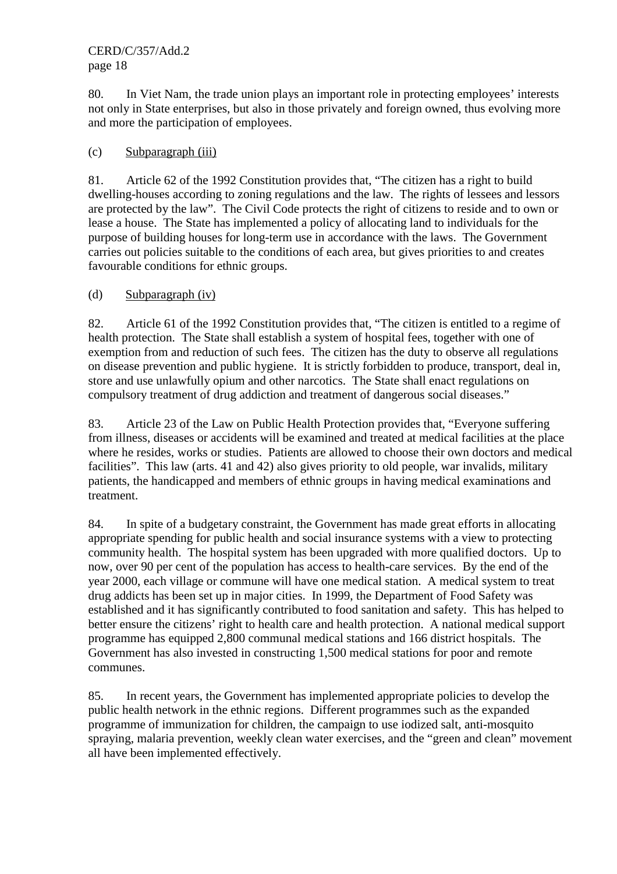80. In Viet Nam, the trade union plays an important role in protecting employees' interests not only in State enterprises, but also in those privately and foreign owned, thus evolving more and more the participation of employees.

## (c) Subparagraph (iii)

81. Article 62 of the 1992 Constitution provides that, "The citizen has a right to build dwelling-houses according to zoning regulations and the law. The rights of lessees and lessors are protected by the law". The Civil Code protects the right of citizens to reside and to own or lease a house. The State has implemented a policy of allocating land to individuals for the purpose of building houses for long-term use in accordance with the laws. The Government carries out policies suitable to the conditions of each area, but gives priorities to and creates favourable conditions for ethnic groups.

## (d) Subparagraph (iv)

82. Article 61 of the 1992 Constitution provides that, "The citizen is entitled to a regime of health protection. The State shall establish a system of hospital fees, together with one of exemption from and reduction of such fees. The citizen has the duty to observe all regulations on disease prevention and public hygiene. It is strictly forbidden to produce, transport, deal in, store and use unlawfully opium and other narcotics. The State shall enact regulations on compulsory treatment of drug addiction and treatment of dangerous social diseases."

83. Article 23 of the Law on Public Health Protection provides that, "Everyone suffering from illness, diseases or accidents will be examined and treated at medical facilities at the place where he resides, works or studies. Patients are allowed to choose their own doctors and medical facilities". This law (arts. 41 and 42) also gives priority to old people, war invalids, military patients, the handicapped and members of ethnic groups in having medical examinations and treatment.

84. In spite of a budgetary constraint, the Government has made great efforts in allocating appropriate spending for public health and social insurance systems with a view to protecting community health. The hospital system has been upgraded with more qualified doctors. Up to now, over 90 per cent of the population has access to health-care services. By the end of the year 2000, each village or commune will have one medical station. A medical system to treat drug addicts has been set up in major cities. In 1999, the Department of Food Safety was established and it has significantly contributed to food sanitation and safety. This has helped to better ensure the citizens' right to health care and health protection. A national medical support programme has equipped 2,800 communal medical stations and 166 district hospitals. The Government has also invested in constructing 1,500 medical stations for poor and remote communes.

85. In recent years, the Government has implemented appropriate policies to develop the public health network in the ethnic regions. Different programmes such as the expanded programme of immunization for children, the campaign to use iodized salt, anti-mosquito spraying, malaria prevention, weekly clean water exercises, and the "green and clean" movement all have been implemented effectively.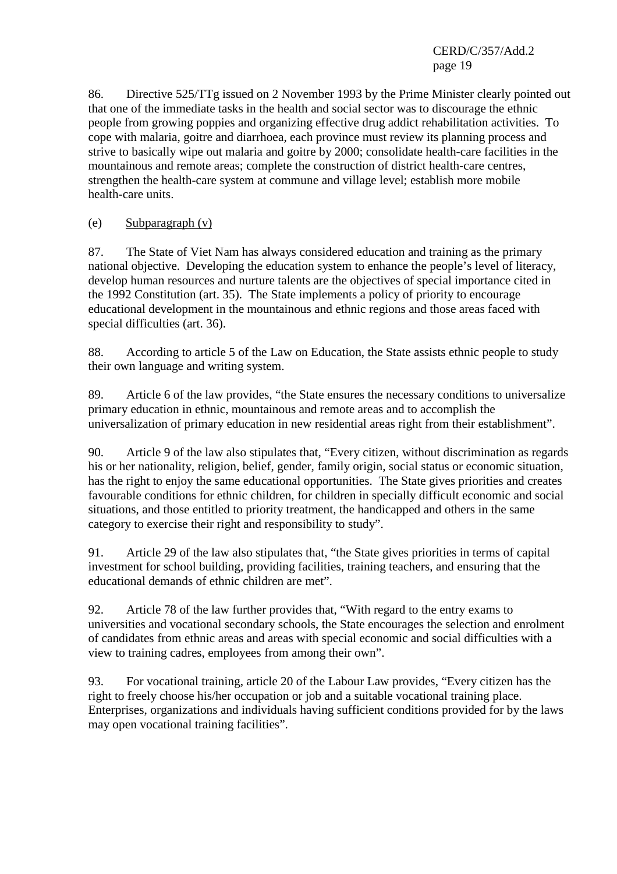86. Directive 525/TTg issued on 2 November 1993 by the Prime Minister clearly pointed out that one of the immediate tasks in the health and social sector was to discourage the ethnic people from growing poppies and organizing effective drug addict rehabilitation activities. To cope with malaria, goitre and diarrhoea, each province must review its planning process and strive to basically wipe out malaria and goitre by 2000; consolidate health-care facilities in the mountainous and remote areas; complete the construction of district health-care centres, strengthen the health-care system at commune and village level; establish more mobile health-care units.

## (e) Subparagraph (v)

87. The State of Viet Nam has always considered education and training as the primary national objective. Developing the education system to enhance the people's level of literacy, develop human resources and nurture talents are the objectives of special importance cited in the 1992 Constitution (art. 35). The State implements a policy of priority to encourage educational development in the mountainous and ethnic regions and those areas faced with special difficulties (art. 36).

88. According to article 5 of the Law on Education, the State assists ethnic people to study their own language and writing system.

89. Article 6 of the law provides, "the State ensures the necessary conditions to universalize primary education in ethnic, mountainous and remote areas and to accomplish the universalization of primary education in new residential areas right from their establishment".

90. Article 9 of the law also stipulates that, "Every citizen, without discrimination as regards his or her nationality, religion, belief, gender, family origin, social status or economic situation, has the right to enjoy the same educational opportunities. The State gives priorities and creates favourable conditions for ethnic children, for children in specially difficult economic and social situations, and those entitled to priority treatment, the handicapped and others in the same category to exercise their right and responsibility to study".

91. Article 29 of the law also stipulates that, "the State gives priorities in terms of capital investment for school building, providing facilities, training teachers, and ensuring that the educational demands of ethnic children are met".

92. Article 78 of the law further provides that, "With regard to the entry exams to universities and vocational secondary schools, the State encourages the selection and enrolment of candidates from ethnic areas and areas with special economic and social difficulties with a view to training cadres, employees from among their own".

93. For vocational training, article 20 of the Labour Law provides, "Every citizen has the right to freely choose his/her occupation or job and a suitable vocational training place. Enterprises, organizations and individuals having sufficient conditions provided for by the laws may open vocational training facilities".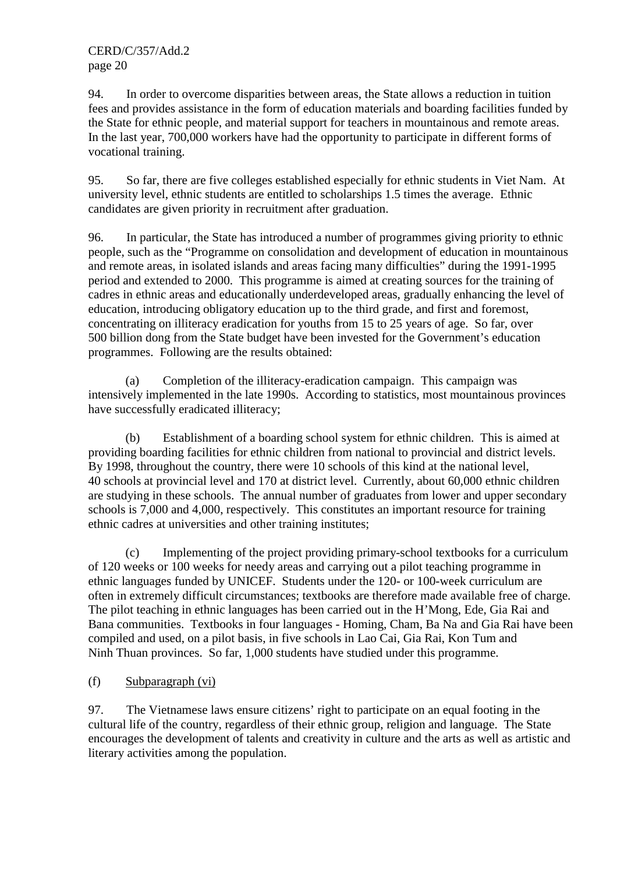94. In order to overcome disparities between areas, the State allows a reduction in tuition fees and provides assistance in the form of education materials and boarding facilities funded by the State for ethnic people, and material support for teachers in mountainous and remote areas. In the last year, 700,000 workers have had the opportunity to participate in different forms of vocational training.

95. So far, there are five colleges established especially for ethnic students in Viet Nam. At university level, ethnic students are entitled to scholarships 1.5 times the average. Ethnic candidates are given priority in recruitment after graduation.

96. In particular, the State has introduced a number of programmes giving priority to ethnic people, such as the "Programme on consolidation and development of education in mountainous and remote areas, in isolated islands and areas facing many difficulties" during the 1991-1995 period and extended to 2000. This programme is aimed at creating sources for the training of cadres in ethnic areas and educationally underdeveloped areas, gradually enhancing the level of education, introducing obligatory education up to the third grade, and first and foremost, concentrating on illiteracy eradication for youths from 15 to 25 years of age. So far, over 500 billion dong from the State budget have been invested for the Government's education programmes. Following are the results obtained:

(a) Completion of the illiteracy-eradication campaign. This campaign was intensively implemented in the late 1990s. According to statistics, most mountainous provinces have successfully eradicated illiteracy;

(b) Establishment of a boarding school system for ethnic children. This is aimed at providing boarding facilities for ethnic children from national to provincial and district levels. By 1998, throughout the country, there were 10 schools of this kind at the national level, 40 schools at provincial level and 170 at district level. Currently, about 60,000 ethnic children are studying in these schools. The annual number of graduates from lower and upper secondary schools is 7,000 and 4,000, respectively. This constitutes an important resource for training ethnic cadres at universities and other training institutes;

(c) Implementing of the project providing primary-school textbooks for a curriculum of 120 weeks or 100 weeks for needy areas and carrying out a pilot teaching programme in ethnic languages funded by UNICEF. Students under the 120- or 100-week curriculum are often in extremely difficult circumstances; textbooks are therefore made available free of charge. The pilot teaching in ethnic languages has been carried out in the H'Mong, Ede, Gia Rai and Bana communities. Textbooks in four languages - Homing, Cham, Ba Na and Gia Rai have been compiled and used, on a pilot basis, in five schools in Lao Cai, Gia Rai, Kon Tum and Ninh Thuan provinces. So far, 1,000 students have studied under this programme.

# (f) Subparagraph (vi)

97. The Vietnamese laws ensure citizens' right to participate on an equal footing in the cultural life of the country, regardless of their ethnic group, religion and language. The State encourages the development of talents and creativity in culture and the arts as well as artistic and literary activities among the population.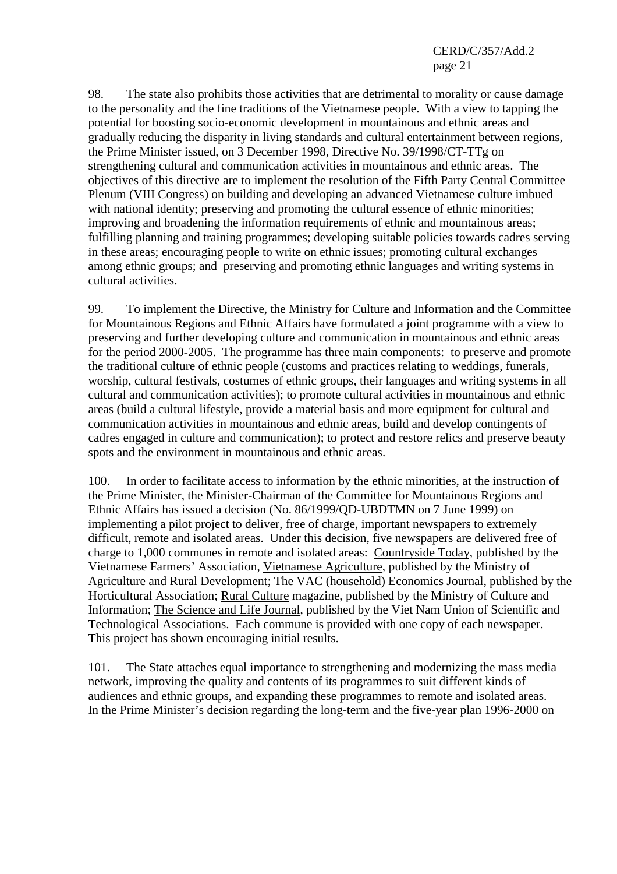98. The state also prohibits those activities that are detrimental to morality or cause damage to the personality and the fine traditions of the Vietnamese people. With a view to tapping the potential for boosting socio-economic development in mountainous and ethnic areas and gradually reducing the disparity in living standards and cultural entertainment between regions, the Prime Minister issued, on 3 December 1998, Directive No. 39/1998/CT-TTg on strengthening cultural and communication activities in mountainous and ethnic areas. The objectives of this directive are to implement the resolution of the Fifth Party Central Committee Plenum (VIII Congress) on building and developing an advanced Vietnamese culture imbued with national identity; preserving and promoting the cultural essence of ethnic minorities; improving and broadening the information requirements of ethnic and mountainous areas; fulfilling planning and training programmes; developing suitable policies towards cadres serving in these areas; encouraging people to write on ethnic issues; promoting cultural exchanges among ethnic groups; and preserving and promoting ethnic languages and writing systems in cultural activities.

99. To implement the Directive, the Ministry for Culture and Information and the Committee for Mountainous Regions and Ethnic Affairs have formulated a joint programme with a view to preserving and further developing culture and communication in mountainous and ethnic areas for the period 2000-2005. The programme has three main components: to preserve and promote the traditional culture of ethnic people (customs and practices relating to weddings, funerals, worship, cultural festivals, costumes of ethnic groups, their languages and writing systems in all cultural and communication activities); to promote cultural activities in mountainous and ethnic areas (build a cultural lifestyle, provide a material basis and more equipment for cultural and communication activities in mountainous and ethnic areas, build and develop contingents of cadres engaged in culture and communication); to protect and restore relics and preserve beauty spots and the environment in mountainous and ethnic areas.

100. In order to facilitate access to information by the ethnic minorities, at the instruction of the Prime Minister, the Minister-Chairman of the Committee for Mountainous Regions and Ethnic Affairs has issued a decision (No. 86/1999/QD-UBDTMN on 7 June 1999) on implementing a pilot project to deliver, free of charge, important newspapers to extremely difficult, remote and isolated areas. Under this decision, five newspapers are delivered free of charge to 1,000 communes in remote and isolated areas: Countryside Today, published by the Vietnamese Farmers' Association, Vietnamese Agriculture, published by the Ministry of Agriculture and Rural Development; The VAC (household) Economics Journal, published by the Horticultural Association; Rural Culture magazine, published by the Ministry of Culture and Information; The Science and Life Journal, published by the Viet Nam Union of Scientific and Technological Associations. Each commune is provided with one copy of each newspaper. This project has shown encouraging initial results.

101. The State attaches equal importance to strengthening and modernizing the mass media network, improving the quality and contents of its programmes to suit different kinds of audiences and ethnic groups, and expanding these programmes to remote and isolated areas. In the Prime Minister's decision regarding the long-term and the five-year plan 1996-2000 on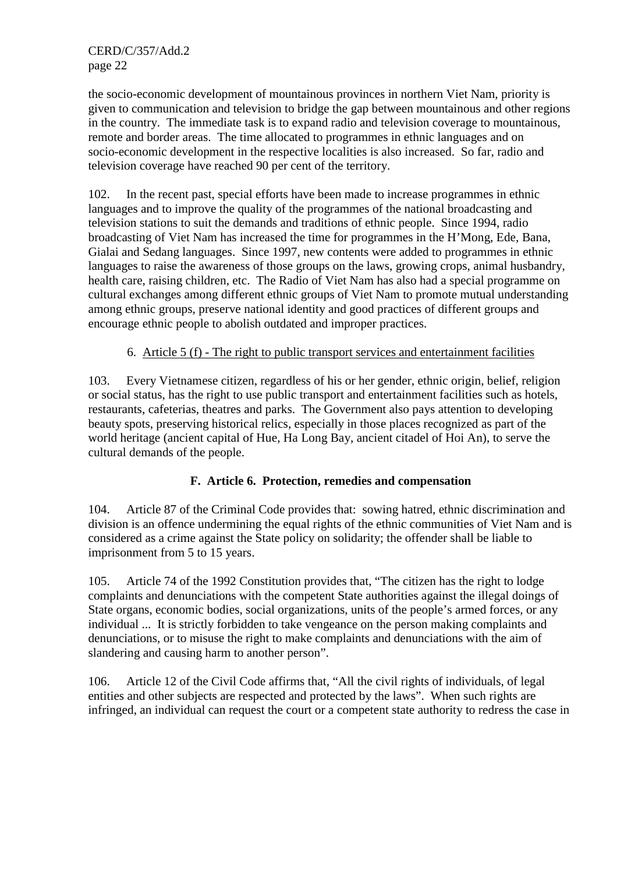the socio-economic development of mountainous provinces in northern Viet Nam, priority is given to communication and television to bridge the gap between mountainous and other regions in the country. The immediate task is to expand radio and television coverage to mountainous, remote and border areas. The time allocated to programmes in ethnic languages and on socio-economic development in the respective localities is also increased. So far, radio and television coverage have reached 90 per cent of the territory.

102. In the recent past, special efforts have been made to increase programmes in ethnic languages and to improve the quality of the programmes of the national broadcasting and television stations to suit the demands and traditions of ethnic people. Since 1994, radio broadcasting of Viet Nam has increased the time for programmes in the H'Mong, Ede, Bana, Gialai and Sedang languages. Since 1997, new contents were added to programmes in ethnic languages to raise the awareness of those groups on the laws, growing crops, animal husbandry, health care, raising children, etc. The Radio of Viet Nam has also had a special programme on cultural exchanges among different ethnic groups of Viet Nam to promote mutual understanding among ethnic groups, preserve national identity and good practices of different groups and encourage ethnic people to abolish outdated and improper practices.

## 6. Article 5 (f) - The right to public transport services and entertainment facilities

103. Every Vietnamese citizen, regardless of his or her gender, ethnic origin, belief, religion or social status, has the right to use public transport and entertainment facilities such as hotels, restaurants, cafeterias, theatres and parks. The Government also pays attention to developing beauty spots, preserving historical relics, especially in those places recognized as part of the world heritage (ancient capital of Hue, Ha Long Bay, ancient citadel of Hoi An), to serve the cultural demands of the people.

## **F. Article 6. Protection, remedies and compensation**

104. Article 87 of the Criminal Code provides that: sowing hatred, ethnic discrimination and division is an offence undermining the equal rights of the ethnic communities of Viet Nam and is considered as a crime against the State policy on solidarity; the offender shall be liable to imprisonment from 5 to 15 years.

105. Article 74 of the 1992 Constitution provides that, "The citizen has the right to lodge complaints and denunciations with the competent State authorities against the illegal doings of State organs, economic bodies, social organizations, units of the people's armed forces, or any individual ... It is strictly forbidden to take vengeance on the person making complaints and denunciations, or to misuse the right to make complaints and denunciations with the aim of slandering and causing harm to another person".

106. Article 12 of the Civil Code affirms that, "All the civil rights of individuals, of legal entities and other subjects are respected and protected by the laws". When such rights are infringed, an individual can request the court or a competent state authority to redress the case in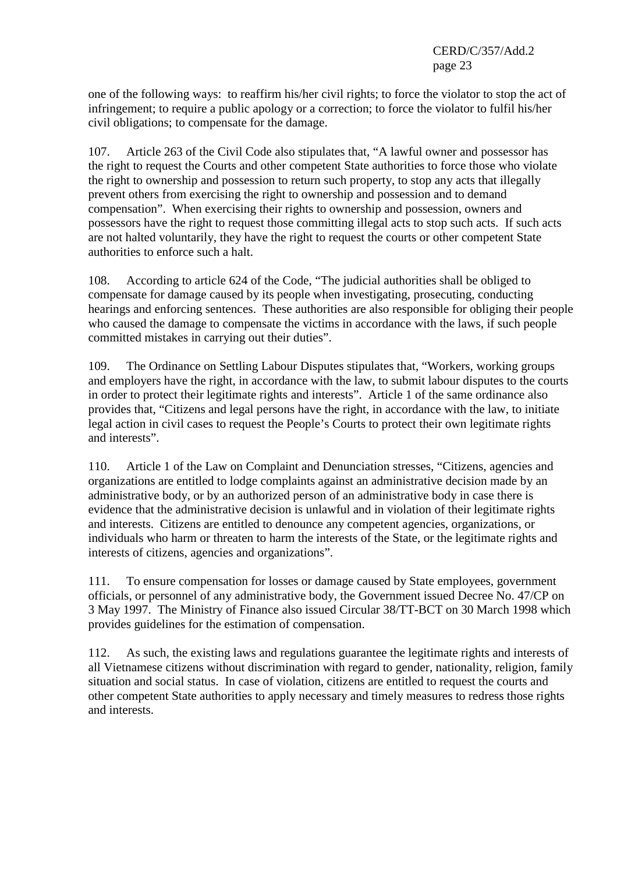one of the following ways: to reaffirm his/her civil rights; to force the violator to stop the act of infringement; to require a public apology or a correction; to force the violator to fulfil his/her civil obligations; to compensate for the damage.

107. Article 263 of the Civil Code also stipulates that, "A lawful owner and possessor has the right to request the Courts and other competent State authorities to force those who violate the right to ownership and possession to return such property, to stop any acts that illegally prevent others from exercising the right to ownership and possession and to demand compensation". When exercising their rights to ownership and possession, owners and possessors have the right to request those committing illegal acts to stop such acts. If such acts are not halted voluntarily, they have the right to request the courts or other competent State authorities to enforce such a halt.

108. According to article 624 of the Code, "The judicial authorities shall be obliged to compensate for damage caused by its people when investigating, prosecuting, conducting hearings and enforcing sentences. These authorities are also responsible for obliging their people who caused the damage to compensate the victims in accordance with the laws, if such people committed mistakes in carrying out their duties".

109. The Ordinance on Settling Labour Disputes stipulates that, "Workers, working groups and employers have the right, in accordance with the law, to submit labour disputes to the courts in order to protect their legitimate rights and interests". Article 1 of the same ordinance also provides that, "Citizens and legal persons have the right, in accordance with the law, to initiate legal action in civil cases to request the People's Courts to protect their own legitimate rights and interests".

110. Article 1 of the Law on Complaint and Denunciation stresses, "Citizens, agencies and organizations are entitled to lodge complaints against an administrative decision made by an administrative body, or by an authorized person of an administrative body in case there is evidence that the administrative decision is unlawful and in violation of their legitimate rights and interests. Citizens are entitled to denounce any competent agencies, organizations, or individuals who harm or threaten to harm the interests of the State, or the legitimate rights and interests of citizens, agencies and organizations".

111. To ensure compensation for losses or damage caused by State employees, government officials, or personnel of any administrative body, the Government issued Decree No. 47/CP on 3 May 1997. The Ministry of Finance also issued Circular 38/TT-BCT on 30 March 1998 which provides guidelines for the estimation of compensation.

112. As such, the existing laws and regulations guarantee the legitimate rights and interests of all Vietnamese citizens without discrimination with regard to gender, nationality, religion, family situation and social status. In case of violation, citizens are entitled to request the courts and other competent State authorities to apply necessary and timely measures to redress those rights and interests.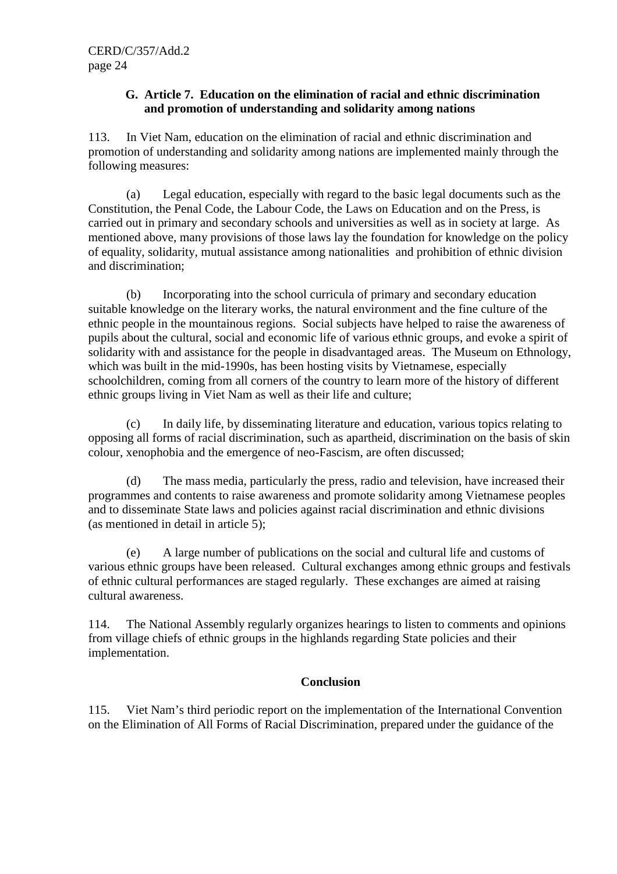#### **G. Article 7. Education on the elimination of racial and ethnic discrimination and promotion of understanding and solidarity among nations**

113. In Viet Nam, education on the elimination of racial and ethnic discrimination and promotion of understanding and solidarity among nations are implemented mainly through the following measures:

(a) Legal education, especially with regard to the basic legal documents such as the Constitution, the Penal Code, the Labour Code, the Laws on Education and on the Press, is carried out in primary and secondary schools and universities as well as in society at large. As mentioned above, many provisions of those laws lay the foundation for knowledge on the policy of equality, solidarity, mutual assistance among nationalities and prohibition of ethnic division and discrimination;

(b) Incorporating into the school curricula of primary and secondary education suitable knowledge on the literary works, the natural environment and the fine culture of the ethnic people in the mountainous regions. Social subjects have helped to raise the awareness of pupils about the cultural, social and economic life of various ethnic groups, and evoke a spirit of solidarity with and assistance for the people in disadvantaged areas. The Museum on Ethnology, which was built in the mid-1990s, has been hosting visits by Vietnamese, especially schoolchildren, coming from all corners of the country to learn more of the history of different ethnic groups living in Viet Nam as well as their life and culture;

(c) In daily life, by disseminating literature and education, various topics relating to opposing all forms of racial discrimination, such as apartheid, discrimination on the basis of skin colour, xenophobia and the emergence of neo-Fascism, are often discussed;

(d) The mass media, particularly the press, radio and television, have increased their programmes and contents to raise awareness and promote solidarity among Vietnamese peoples and to disseminate State laws and policies against racial discrimination and ethnic divisions (as mentioned in detail in article 5);

(e) A large number of publications on the social and cultural life and customs of various ethnic groups have been released. Cultural exchanges among ethnic groups and festivals of ethnic cultural performances are staged regularly. These exchanges are aimed at raising cultural awareness.

114. The National Assembly regularly organizes hearings to listen to comments and opinions from village chiefs of ethnic groups in the highlands regarding State policies and their implementation.

## **Conclusion**

115. Viet Nam's third periodic report on the implementation of the International Convention on the Elimination of All Forms of Racial Discrimination, prepared under the guidance of the